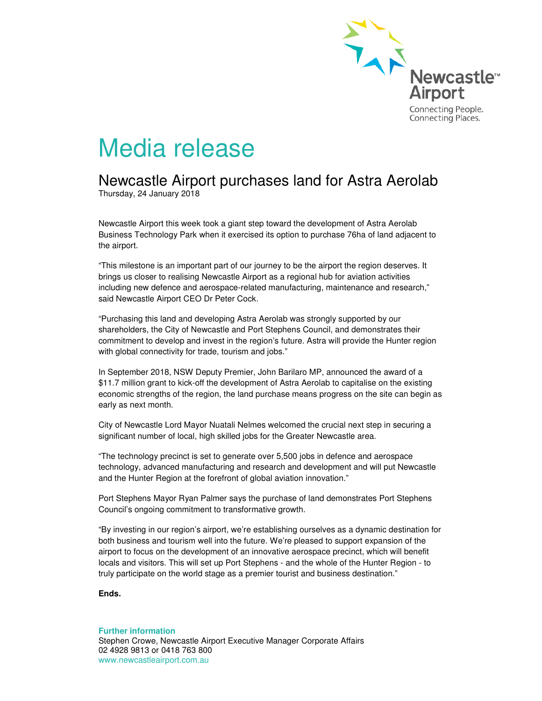

## Media release

## Newcastle Airport purchases land for Astra Aerolab

Thursday, 24 January 2018

Newcastle Airport this week took a giant step toward the development of Astra Aerolab Business Technology Park when it exercised its option to purchase 76ha of land adjacent to the airport.

"This milestone is an important part of our journey to be the airport the region deserves. It brings us closer to realising Newcastle Airport as a regional hub for aviation activities including new defence and aerospace-related manufacturing, maintenance and research," said Newcastle Airport CEO Dr Peter Cock.

"Purchasing this land and developing Astra Aerolab was strongly supported by our shareholders, the City of Newcastle and Port Stephens Council, and demonstrates their commitment to develop and invest in the region's future. Astra will provide the Hunter region with global connectivity for trade, tourism and jobs."

In September 2018, NSW Deputy Premier, John Barilaro MP, announced the award of a \$11.7 million grant to kick-off the development of Astra Aerolab to capitalise on the existing economic strengths of the region, the land purchase means progress on the site can begin as early as next month.

City of Newcastle Lord Mayor Nuatali Nelmes welcomed the crucial next step in securing a significant number of local, high skilled jobs for the Greater Newcastle area.

"The technology precinct is set to generate over 5,500 jobs in defence and aerospace technology, advanced manufacturing and research and development and will put Newcastle and the Hunter Region at the forefront of global aviation innovation."

Port Stephens Mayor Ryan Palmer says the purchase of land demonstrates Port Stephens Council's ongoing commitment to transformative growth.

"By investing in our region's airport, we're establishing ourselves as a dynamic destination for both business and tourism well into the future. We're pleased to support expansion of the airport to focus on the development of an innovative aerospace precinct, which will benefit locals and visitors. This will set up Port Stephens - and the whole of the Hunter Region - to truly participate on the world stage as a premier tourist and business destination."

**Ends.**